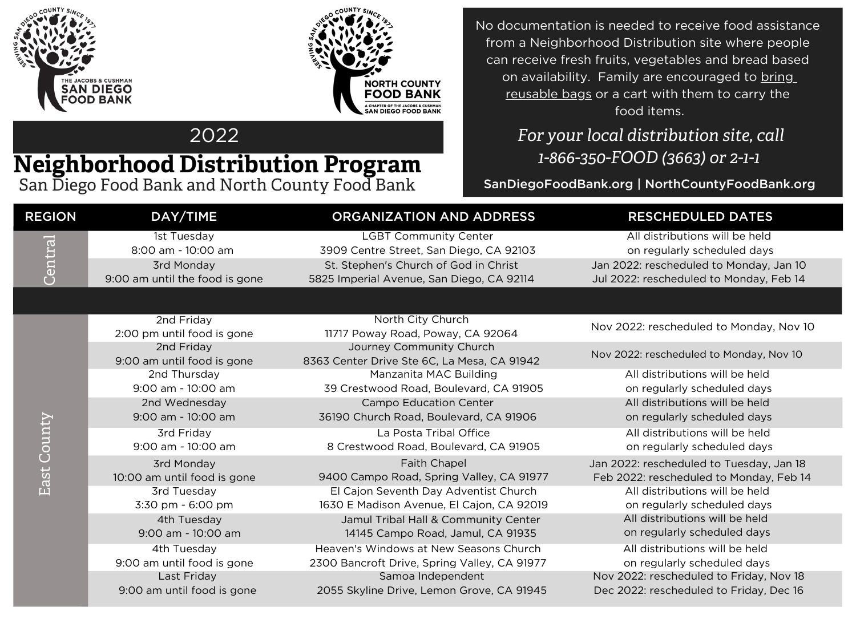



2022

## **Neighborhood Distribution Program**

San Diego Food Bank and North County Food Bank

No documentation is needed to receive food assistance from a Neighborhood Distribution site where people can receive fresh fruits, vegetables and bread based on availability. Family are encouraged to bring reusable bags or a cart with them to carry the food items.

> *For your local distribution site, call 1-866-350-FOOD (3663) or 2-1-1*

SanDiegoFoodBank.org | NorthCountyFoodBank.org

| <b>REGION</b> | DAY/TIME                                     | ORGANIZATION AND ADDRESS                                                | <b>RESCHEDULED DATES</b>                                      |
|---------------|----------------------------------------------|-------------------------------------------------------------------------|---------------------------------------------------------------|
| Central       | 1st Tuesday<br>8:00 am - 10:00 am            | <b>LGBT Community Center</b><br>3909 Centre Street, San Diego, CA 92103 | All distributions will be held<br>on regularly scheduled days |
|               |                                              | St. Stephen's Church of God in Christ                                   | Jan 2022: rescheduled to Monday, Jan 10                       |
|               | 3rd Monday<br>9:00 am until the food is gone | 5825 Imperial Avenue, San Diego, CA 92114                               | Jul 2022: rescheduled to Monday, Feb 14                       |
|               |                                              |                                                                         |                                                               |
|               |                                              |                                                                         |                                                               |
| East County   | 2nd Friday                                   | North City Church                                                       | Nov 2022: rescheduled to Monday, Nov 10                       |
|               | 2:00 pm until food is gone                   | 11717 Poway Road, Poway, CA 92064                                       |                                                               |
|               | 2nd Friday                                   | Journey Community Church                                                | Nov 2022: rescheduled to Monday, Nov 10                       |
|               | 9:00 am until food is gone                   | 8363 Center Drive Ste 6C, La Mesa, CA 91942                             |                                                               |
|               | 2nd Thursday                                 | Manzanita MAC Building                                                  | All distributions will be held                                |
|               | 9:00 am - 10:00 am                           | 39 Crestwood Road, Boulevard, CA 91905                                  | on regularly scheduled days                                   |
|               | 2nd Wednesday                                | <b>Campo Education Center</b>                                           | All distributions will be held                                |
|               | 9:00 am - 10:00 am                           | 36190 Church Road, Boulevard, CA 91906                                  | on regularly scheduled days                                   |
|               | 3rd Friday                                   | La Posta Tribal Office                                                  | All distributions will be held                                |
|               | 9:00 am - 10:00 am                           | 8 Crestwood Road, Boulevard, CA 91905                                   | on regularly scheduled days                                   |
|               | 3rd Monday                                   | <b>Faith Chapel</b>                                                     | Jan 2022: rescheduled to Tuesday, Jan 18                      |
|               | 10:00 am until food is gone                  | 9400 Campo Road, Spring Valley, CA 91977                                | Feb 2022: rescheduled to Monday, Feb 14                       |
|               | 3rd Tuesday                                  | El Cajon Seventh Day Adventist Church                                   | All distributions will be held                                |
|               | 3:30 pm - 6:00 pm                            | 1630 E Madison Avenue, El Cajon, CA 92019                               | on regularly scheduled days                                   |
|               | 4th Tuesday                                  | Jamul Tribal Hall & Community Center                                    | All distributions will be held                                |
|               | 9:00 am - 10:00 am                           | 14145 Campo Road, Jamul, CA 91935                                       | on regularly scheduled days                                   |
|               | 4th Tuesday                                  | Heaven's Windows at New Seasons Church                                  | All distributions will be held                                |
|               | 9:00 am until food is gone                   | 2300 Bancroft Drive, Spring Valley, CA 91977                            | on regularly scheduled days                                   |
|               | Last Friday                                  | Samoa Independent                                                       | Nov 2022: rescheduled to Friday, Nov 18                       |
|               | 9:00 am until food is gone                   | 2055 Skyline Drive, Lemon Grove, CA 91945                               | Dec 2022: rescheduled to Friday, Dec 16                       |